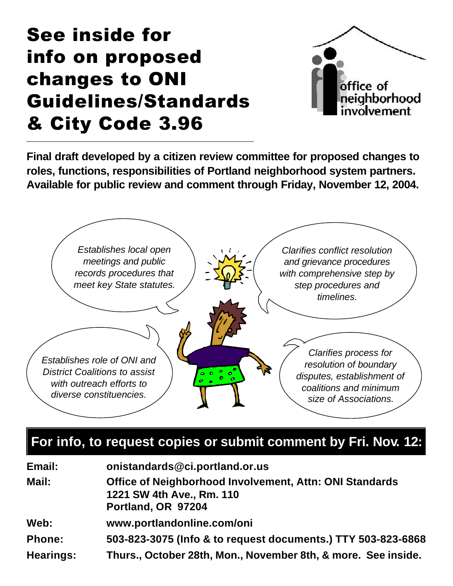# See inside for info on proposed changes to ONI Guidelines/Standards & City Code 3.96



**Final draft developed by a citizen review committee for proposed changes to roles, functions, responsibilities of Portland neighborhood system partners. Available for public review and comment through Friday, November 12, 2004.**



### **For info, to request copies or submit comment by Fri. Nov. 12:**

| Email:           | onistandards@ci.portland.or.us                                                                             |
|------------------|------------------------------------------------------------------------------------------------------------|
| Mail:            | Office of Neighborhood Involvement, Attn: ONI Standards<br>1221 SW 4th Ave., Rm. 110<br>Portland, OR 97204 |
| Web:             | www.portlandonline.com/oni                                                                                 |
| <b>Phone:</b>    | 503-823-3075 (Info & to request documents.) TTY 503-823-6868                                               |
| <b>Hearings:</b> | Thurs., October 28th, Mon., November 8th, & more. See inside.                                              |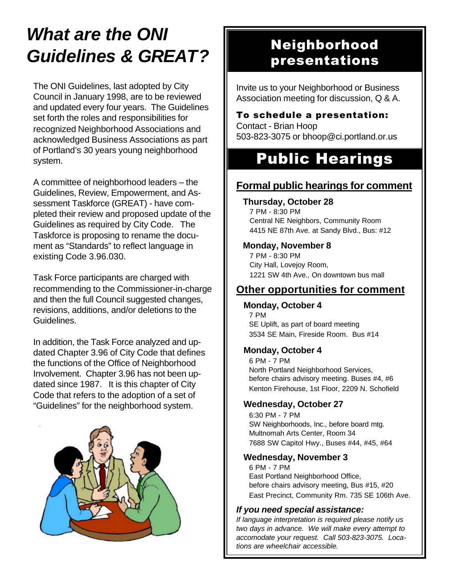### *What are the ONI Guidelines & GREAT?*

The ONI Guidelines, last adopted by City Council in January 1998, are to be reviewed and updated every four years. The Guidelines set forth the roles and responsibilities for recognized Neighborhood Associations and acknowledged Business Associations as part of Portland's 30 years young neighborhood system.

A committee of neighborhood leaders – the Guidelines, Review, Empowerment, and Assessment Taskforce (GREAT) - have completed their review and proposed update of the Guidelines as required by City Code. The Taskforce is proposing to rename the document as "Standards" to reflect language in existing Code 3.96.030.

Task Force participants are charged with recommending to the Commissioner-in-charge and then the full Council suggested changes, revisions, additions, and/or deletions to the Guidelines.

In addition, the Task Force analyzed and updated Chapter 3.96 of City Code that defines the functions of the Office of Neighborhood Involvement. Chapter 3.96 has not been updated since 1987. It is this chapter of City Code that refers to the adoption of a set of "Guidelines" for the neighborhood system.



### Neighborhood presentations

Invite us to your Neighborhood or Business Association meeting for discussion, Q & A.

#### To schedule a presentation: Contact - Brian Hoop 503-823-3075 or bhoop@ci.portland.or.us

### Public Hearings

### **Formal public hearings for comment**

#### **Thursday, October 28**

7 PM - 8:30 PM Central NE Neighbors, Community Room 4415 NE 87th Ave. at Sandy Blvd., Bus: #12

#### **Monday, November 8**

7 PM - 8:30 PM City Hall, Lovejoy Room, 1221 SW 4th Ave., On downtown bus mall

#### **Other opportunities for comment**

#### **Monday, October 4**

7 PM SE Uplift, as part of board meeting 3534 SE Main, Fireside Room. Bus #14

#### **Monday, October 4**

6 PM - 7 PM North Portland Neighborhood Services, before chairs advisory meeting. Buses #4, #6 Kenton Firehouse, 1st Floor, 2209 N. Schofield

#### **Wednesday, October 27**

6:30 PM - 7 PM SW Neighborhoods, Inc., before board mtg. Multnomah Arts Center, Room 34 7688 SW Capitol Hwy., Buses #44, #45, #64

#### **Wednesday, November 3**

6 PM - 7 PM East Portland Neighborhood Office, before chairs advisory meeting, Bus #15, #20 East Precinct, Community Rm. 735 SE 106th Ave.

#### *If you need special assistance:*

*If language interpretation is required please notify us two days in advance. We will make every attempt to accomodate your request. Call 503-823-3075. Locations are wheelchair accessible.*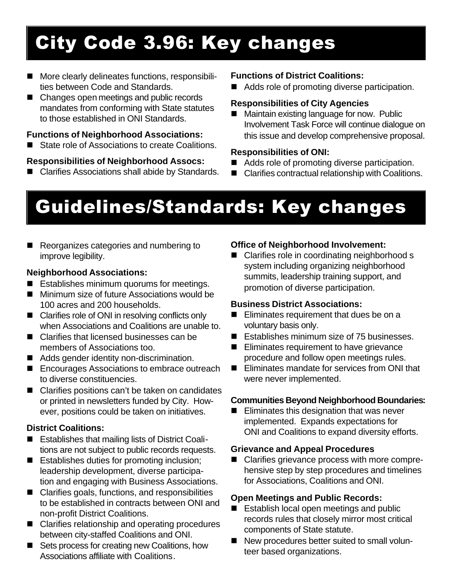# City Code 3.96: Key changes

- More clearly delineates functions, responsibilities between Code and Standards.
- Changes open meetings and public records mandates from conforming with State statutes to those established in ONI Standards.

#### **Functions of Neighborhood Associations:**

■ State role of Associations to create Coalitions.

#### **Responsibilities of Neighborhood Assocs:**

■ Clarifies Associations shall abide by Standards.

#### **Functions of District Coalitions:**

 $\blacksquare$  Adds role of promoting diverse participation.

#### **Responsibilities of City Agencies**

■ Maintain existing language for now. Public Involvement Task Force will continue dialogue on this issue and develop comprehensive proposal.

#### **Responsibilities of ONI:**

- $\blacksquare$  Adds role of promoting diverse participation.
- Clarifies contractual relationship with Coalitions.

# Guidelines/Standards: Key changes

Reorganizes categories and numbering to improve legibility.

#### **Neighborhood Associations:**

- Establishes minimum quorums for meetings.
- $\blacksquare$  Minimum size of future Associations would be 100 acres and 200 households.
- $\blacksquare$  Clarifies role of ONI in resolving conflicts only when Associations and Coalitions are unable to.
- $\blacksquare$  Clarifies that licensed businesses can be members of Associations too.
- Adds gender identity non-discrimination.
- Encourages Associations to embrace outreach to diverse constituencies.
- Clarifies positions can't be taken on candidates or printed in newsletters funded by City. However, positions could be taken on initiatives.

#### **District Coalitions:**

- Establishes that mailing lists of District Coalitions are not subject to public records requests.
- $\blacksquare$  Establishes duties for promoting inclusion; leadership development, diverse participation and engaging with Business Associations.
- $\blacksquare$  Clarifies goals, functions, and responsibilities to be established in contracts between ONI and non-profit District Coalitions.
- $\blacksquare$  Clarifies relationship and operating procedures between city-staffed Coalitions and ONI.
- Sets process for creating new Coalitions, how Associations affiliate with Coalitions.

#### **Office of Neighborhood Involvement:**

■ Clarifies role in coordinating neighborhood s system including organizing neighborhood summits, leadership training support, and promotion of diverse participation.

#### **Business District Associations:**

- $\blacksquare$  Eliminates requirement that dues be on a voluntary basis only.
- $\blacksquare$  Establishes minimum size of 75 businesses.
- $\blacksquare$  Eliminates requirement to have grievance procedure and follow open meetings rules.
- $\blacksquare$  Eliminates mandate for services from ONI that were never implemented.

#### **Communities Beyond Neighborhood Boundaries:**

 $\blacksquare$  Eliminates this designation that was never implemented. Expands expectations for ONI and Coalitions to expand diversity efforts.

#### **Grievance and Appeal Procedures**

■ Clarifies grievance process with more comprehensive step by step procedures and timelines for Associations, Coalitions and ONI.

#### **Open Meetings and Public Records:**

- Establish local open meetings and public records rules that closely mirror most critical components of State statute.
- n New procedures better suited to small volunteer based organizations.